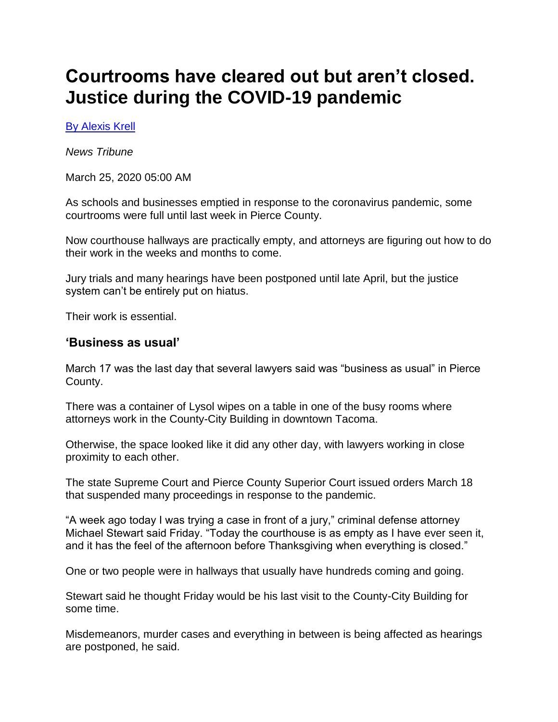# **Courtrooms have cleared out but aren't closed. Justice during the COVID-19 pandemic**

#### [By Alexis Krell](mailto:akrell@thenewstribune.com)

*News Tribune*

March 25, 2020 05:00 AM

As schools and businesses emptied in response to the coronavirus pandemic, some courtrooms were full until last week in Pierce County.

Now courthouse hallways are practically empty, and attorneys are figuring out how to do their work in the weeks and months to come.

Jury trials and many hearings have been postponed until late April, but the justice system can't be entirely put on hiatus.

Their work is essential.

#### **'Business as usual'**

March 17 was the last day that several lawyers said was "business as usual" in Pierce County.

There was a container of Lysol wipes on a table in one of the busy rooms where attorneys work in the County-City Building in downtown Tacoma.

Otherwise, the space looked like it did any other day, with lawyers working in close proximity to each other.

The state Supreme Court and Pierce County Superior Court issued orders March 18 that suspended many proceedings in response to the pandemic.

"A week ago today I was trying a case in front of a jury," criminal defense attorney Michael Stewart said Friday. "Today the courthouse is as empty as I have ever seen it, and it has the feel of the afternoon before Thanksgiving when everything is closed."

One or two people were in hallways that usually have hundreds coming and going.

Stewart said he thought Friday would be his last visit to the County-City Building for some time.

Misdemeanors, murder cases and everything in between is being affected as hearings are postponed, he said.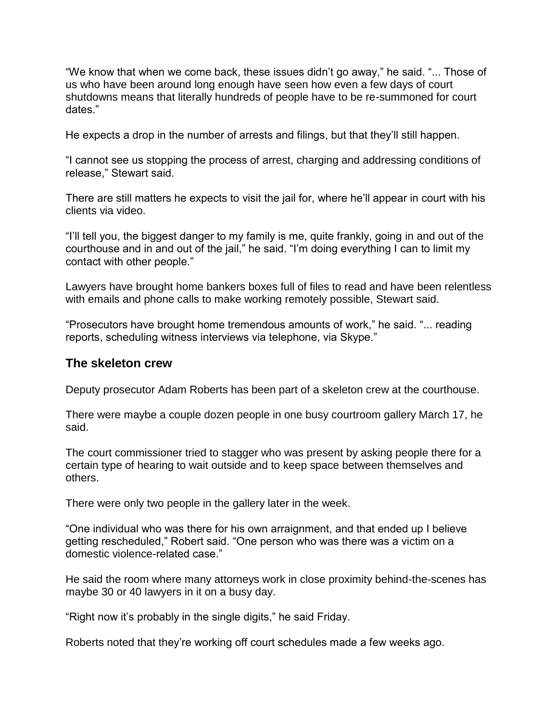"We know that when we come back, these issues didn't go away," he said. "... Those of us who have been around long enough have seen how even a few days of court shutdowns means that literally hundreds of people have to be re-summoned for court dates."

He expects a drop in the number of arrests and filings, but that they'll still happen.

"I cannot see us stopping the process of arrest, charging and addressing conditions of release," Stewart said.

There are still matters he expects to visit the jail for, where he'll appear in court with his clients via video.

"I'll tell you, the biggest danger to my family is me, quite frankly, going in and out of the courthouse and in and out of the jail," he said. "I'm doing everything I can to limit my contact with other people."

Lawyers have brought home bankers boxes full of files to read and have been relentless with emails and phone calls to make working remotely possible, Stewart said.

"Prosecutors have brought home tremendous amounts of work," he said. "... reading reports, scheduling witness interviews via telephone, via Skype."

#### **The skeleton crew**

Deputy prosecutor Adam Roberts has been part of a skeleton crew at the courthouse.

There were maybe a couple dozen people in one busy courtroom gallery March 17, he said.

The court commissioner tried to stagger who was present by asking people there for a certain type of hearing to wait outside and to keep space between themselves and others.

There were only two people in the gallery later in the week.

"One individual who was there for his own arraignment, and that ended up I believe getting rescheduled," Robert said. "One person who was there was a victim on a domestic violence-related case."

He said the room where many attorneys work in close proximity behind-the-scenes has maybe 30 or 40 lawyers in it on a busy day.

"Right now it's probably in the single digits," he said Friday.

Roberts noted that they're working off court schedules made a few weeks ago.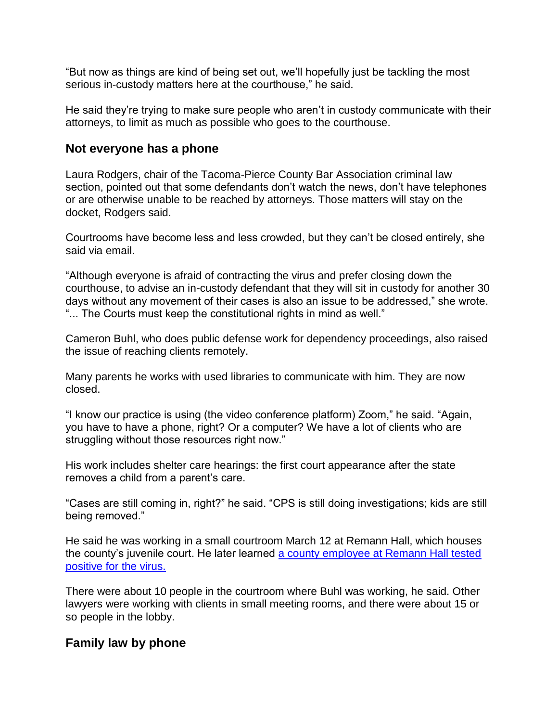"But now as things are kind of being set out, we'll hopefully just be tackling the most serious in-custody matters here at the courthouse," he said.

He said they're trying to make sure people who aren't in custody communicate with their attorneys, to limit as much as possible who goes to the courthouse.

### **Not everyone has a phone**

Laura Rodgers, chair of the Tacoma-Pierce County Bar Association criminal law section, pointed out that some defendants don't watch the news, don't have telephones or are otherwise unable to be reached by attorneys. Those matters will stay on the docket, Rodgers said.

Courtrooms have become less and less crowded, but they can't be closed entirely, she said via email.

"Although everyone is afraid of contracting the virus and prefer closing down the courthouse, to advise an in-custody defendant that they will sit in custody for another 30 days without any movement of their cases is also an issue to be addressed," she wrote. "... The Courts must keep the constitutional rights in mind as well."

Cameron Buhl, who does public defense work for dependency proceedings, also raised the issue of reaching clients remotely.

Many parents he works with used libraries to communicate with him. They are now closed.

"I know our practice is using (the video conference platform) Zoom," he said. "Again, you have to have a phone, right? Or a computer? We have a lot of clients who are struggling without those resources right now."

His work includes shelter care hearings: the first court appearance after the state removes a child from a parent's care.

"Cases are still coming in, right?" he said. "CPS is still doing investigations; kids are still being removed."

He said he was working in a small courtroom March 12 at Remann Hall, which houses the county's juvenile court. He later learned [a county employee at Remann Hall tested](https://www.thenewstribune.com/news/coronavirus/article241241441.html)  [positive for](https://www.thenewstribune.com/news/coronavirus/article241241441.html) the virus.

There were about 10 people in the courtroom where Buhl was working, he said. Other lawyers were working with clients in small meeting rooms, and there were about 15 or so people in the lobby.

## **Family law by phone**